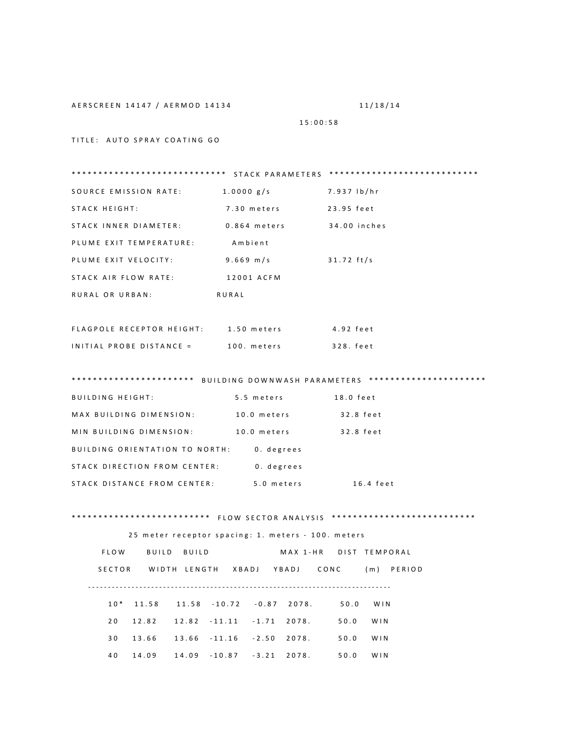AERSCREEN 14147 / AERMOD 14134

11/18/14

15:00:58

TITLE: AUTO SPRAY COATING GO

SOURCE EMISSION RATE: 1.0000 g/s 7.937 lb/hr STACK HEIGHT: 7.30 meters 23.95 feet STACK INNER DIAMETER:  $0.864$  meters 34.00 inches PLUME EXIT TEMPERATURE: Ambient PLUME EXIT VELOCITY:  $9.669$  m/s  $31.72$  ft/s STACK AIR FLOW RATE: 12001 ACFM RURAL OR URBAN: RURAL FLAGPOLE RECEPTOR HEIGHT: 1.50 meters 4.92 feet INITIAL PROBE DISTANCE = 100. meters 328. feet \*\*\*\*\*\*\*\*\*\*\*\*\*\*\*\*\*\*\*\*\*\*\* BUILDING DOWNWASH PARAMETERS \*\*\*\*\*\*\*\*\*\*\*\*\*\*\*\*\*\*\*\*\*\*\*\*\*\* **BUILDING HEIGHT:** 5.5 meters 18.0 feet MAX BUILDING DIMENSION: 10.0 meters 32.8 feet MIN BUILDING DIMENSION: 10.0 meters 32.8 feet BUILDING ORIENTATION TO NORTH: 0. degrees STACK DIRECTION FROM CENTER: 0. degrees STACK DISTANCE FROM CENTER: 5.0 meters 16.4 feet 25 meter receptor spacing: 1. meters - 100. meters FLOW BUILD BUILD MAX 1-HR DIST TEMPORAL SECTOR WIDTH LENGTH XBADJ YBADJ CONC (m) PERIOD  $10*$  11.58 11.58 -10.72 -0.87 2078. 50.0 WIN  $20 \qquad 12.82 \qquad 12.82 \qquad -11.11 \qquad -1.71 \qquad 2078. \qquad \qquad 50.0 \qquad \text{WIN}$ 

30 13.66 13.66 -11.16 -2.50 2078. 50.0 WIN

50.0 WIN

40 14.09 14.09 -10.87 -3.21 2078.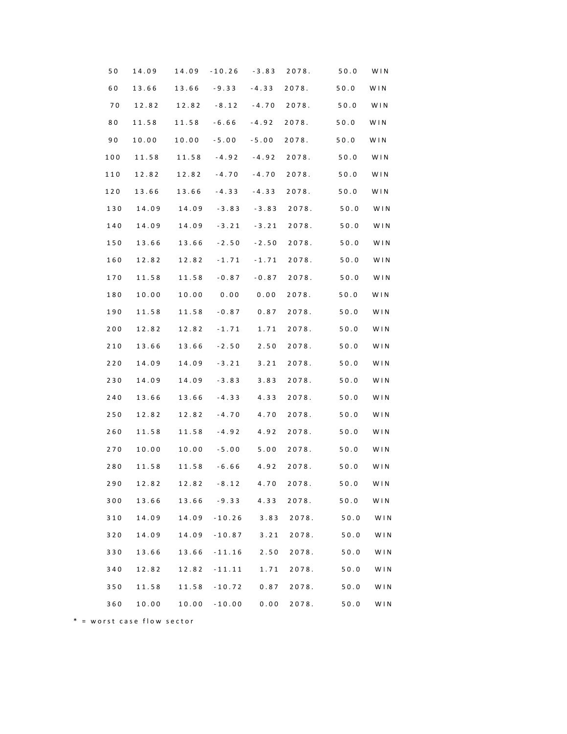| 50  | 14.09 | 14.09       | $-10.26 -3.83$ |         | 2078. | 50.0   | WIN |
|-----|-------|-------------|----------------|---------|-------|--------|-----|
| 60  | 13.66 |             | $13.66 - 9.33$ | $-4.33$ | 2078. | 50.0   | WIN |
| 70  | 12.82 | 12.82 -8.12 |                | -4.70   | 2078. | $50.0$ | WIN |
| 80  | 11.58 | 11.58       | $-6.66$        | $-4.92$ | 2078. | 50.0   | WIN |
| 90  | 10.00 | 10.00       | $-5.00$        | $-5.00$ | 2078. | 50.0   | WIN |
| 100 | 11.58 | 11.58       | -4.92          | -4.92   | 2078. | 50.0   | WIN |
| 110 | 12.82 | 12.82       | $-4.70$        | $-4.70$ | 2078. | $50.0$ | WIN |
| 120 | 13.66 | 13.66       | $-4.33$        | $-4.33$ | 2078. | 50.0   | WIN |
| 130 | 14.09 | 14.09       | $-3.83$        | $-3.83$ | 2078. | 50.0   | WIN |
| 140 | 14.09 | 14.09       | $-3.21$        | $-3.21$ | 2078. | 50.0   | WIN |
| 150 | 13.66 | 13.66       | $-2.50$        | $-2.50$ | 2078. | 50.0   | WIN |
| 160 | 12.82 | 12.82       | $-1.71$        | $-1.71$ | 2078. | $50.0$ | WIN |
| 170 | 11.58 | 11.58       | $-0.87$        | $-0.87$ | 2078. | 50.0   | WIN |
| 180 | 10.00 |             | 10.00 0.00     | 0.00    | 2078. | 50.0   | WIN |
| 190 | 11.58 | 11.58       | $-0.87$        | 0.87    | 2078. | 50.0   | WIN |
| 200 | 12.82 | 12.82       | $-1.71$        | 1.71    | 2078. | $50.0$ | WIN |
| 210 | 13.66 | 13.66       | $-2.50$        | 2.50    | 2078. | 50.0   | WIN |
| 220 | 14.09 | 14.09       | $-3.21$        | 3.21    | 2078. | $50.0$ | WIN |
| 230 | 14.09 | 14.09       | $-3.83$        | 3.83    | 2078. | 50.0   | WIN |
| 240 | 13.66 | 13.66       | $-4.33$        | 4.33    | 2078. | 50.0   | WIN |
| 250 | 12.82 | 12.82       | $-4.70$        | 4.70    | 2078. | 50.0   | WIN |
| 260 | 11.58 | 11.58       | $-4.92$        | 4.92    | 2078. | 50.0   | WIN |
| 270 | 10.00 | 10.00       | $-5.00$        | $5.00$  | 2078. | 50.0   | WIN |
| 280 | 11.58 | 11.58       | $-6.66$        | 4.92    | 2078. | 50.0   | WIN |
| 290 | 12.82 | 12.82       | $-8.12$        | 4.70    | 2078. | $50.0$ | WIN |
| 300 | 13.66 | 13.66       | $-9.33$        | 4.33    | 2078. | 50.0   | WIN |
| 310 | 14.09 | 14.09       | $-10.26$       | 3.83    | 2078. | 50.0   | WIN |
| 320 | 14.09 | 14.09       | $-10.87$       | 3.21    | 2078. | 50.0   | WIN |
| 330 | 13.66 | 13.66       | $-11.16$       | 2.50    | 2078. | 50.0   | WIN |
| 340 | 12.82 | 12.82       | $-11.11$       | 1.71    | 2078. | 50.0   | WIN |
| 350 | 11.58 | 11.58       | $-10.72$       | 0.87    | 2078. | 50.0   | WIN |
| 360 | 10.00 | 10.00       | $-10.00$       | 0.00    | 2078. | $50.0$ | WIN |

 $*$  = worst case flow sector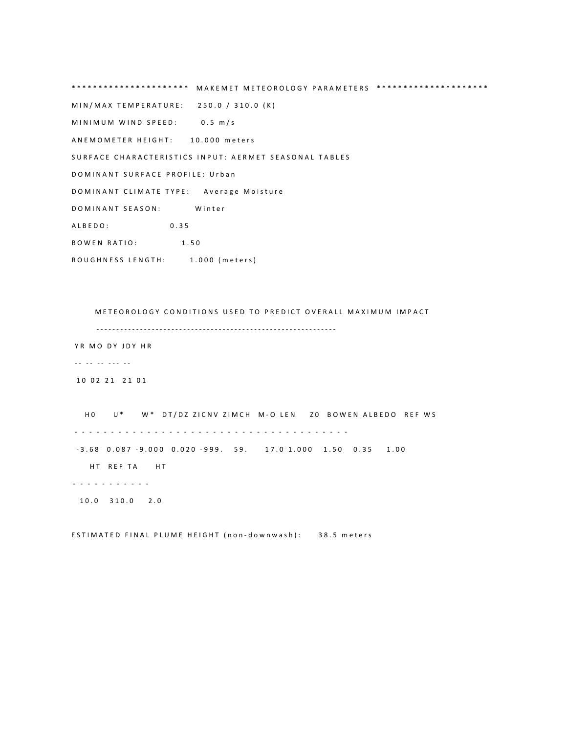\*\*\*\*\*\*\*\*\*\*\*\*\*\*\*\*\*\*\*\*\* MAKEMET METEOROLOGY PARAMETERS \*\*\*\*\*\*\*\*\*\*\*\*\*\*\*\*\*\*\*\*\*\* M I N / M A X T E M P E R A T U R E : 250 . 0 / 310 . 0 (K)  $MINIMUM$  WIND SPEED:  $0.5$  m/s A N E M O M E T E R H E I G H T : 10.000 m e t e r s SURFACE CHARACTERISTICS INPUT: AERMET SEASONAL TABLES DOMINANT SURFACE PROFILE: Urban D O M I N A N T CLIMATE TYPE: Average Moisture D O M I N A N T S E A S O N : Winter A L B E D O : 0.35 **BOWEN RATIO:** 1.50 ROUGHNESS LENGTH: 1.000 (meters)

METEOROLOGY CONDITIONS USED TO PREDICT OVERALL MAXIMUM IMPACT - - - - - - - - - - - - - - - - - - - - - - - - - - - - - - - - - - - - - - - - - - - - - - - - - - - - - - - - - - - - - YR MO DY JDY HR - - - - - - - - - - - 10 02 21 21 01 HO U \* W \* D T / D Z Z I C N V Z I M CH H A LO LEN ZO BOWEN ALBEDO REF WS - - - - - - - - - - - - - - - - - - - - - - - - - - - - - - - - - - - - - -  $-3.68$  0.087  $-9.000$  0.020  $-999$ . 59. 17.0 1.000 1.50 0.35 1.00 HT REF TAHT - - - - - - - - - - - 10.0 310.0 2.0

ESTIMATED FINAL PLUME HEIGHT (non-downwash): 38.5 meters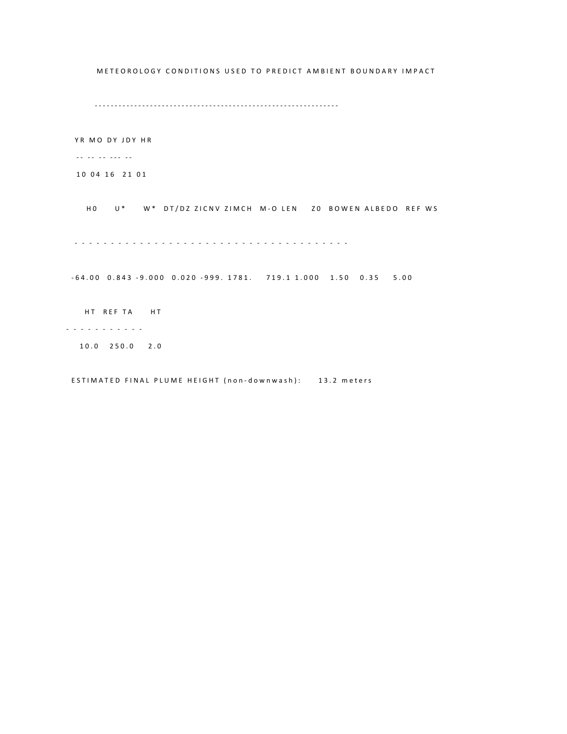METEOROLOGY CONDITIONS USED TO PREDICT AMBIENT BOUNDARY IMPACT - - - - - - - - - - - - - - - - - - - - - - - - - - - - - - - - - - - - - - - - - - - - - - - - - - - - - - - - - - - - - - YR MO DY JDY HR  $\ldots$   $\ldots$   $\ldots$ 10 04 16 21 01 HO U\* W\* DT/DZ ZICNV ZIMCH M-O LEN ZO BOWEN ALBEDO REF WS - - - - - - - - - - - - - - - - - - - - - - - - - - - - - - - - - - - - - -  $-64.00$  0.843  $-9.000$  0.020  $-999$ . 1781. 719.1 1.000 1.50 0.35 5.00 HT REF TA HT - - - - - - - - - - - 1 0 . 0 2 5 0 . 0 2 . 0

ESTIMATED FINAL PLUME HEIGHT (non-downwash): 13.2 meters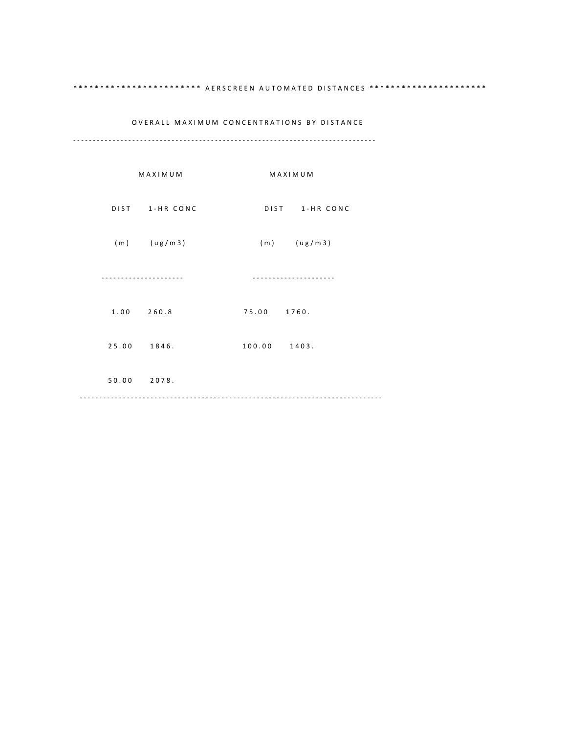## \*\*\*\*\*\*\*\*\*\*\*\*\*\*\*\*\*\*\*\*\*\*\*\*\*\* AERSCREEN AUTOMATED DISTANCES \*\*\*\*\*\*\*\*\*\*\*\*\*\*\*\*\*\*\*\*\*\*\*

## OVERALL MAXIMUM CONCENTRATIONS BY DISTANCE

- - - - - - - - - - - - - - - - - - - - - - - - - - - - - - - - - - - - - - - - - - - - - - - - - - - - - - - - - - - - - - - - - - - - - - - - - - - - -

|       | MAXIMUM         | MAXIMUM         |
|-------|-----------------|-----------------|
|       | DIST 1-HR CONC  | DIST 1-HR CONC  |
|       | $(m)$ $(ug/m3)$ | $(m)$ $(ug/m3)$ |
|       |                 |                 |
|       | 1.00 260.8      | 75.00 1760.     |
| 25.00 | 1846.           | 100.00 1403.    |
|       | 50.00 2078.     |                 |
|       |                 |                 |